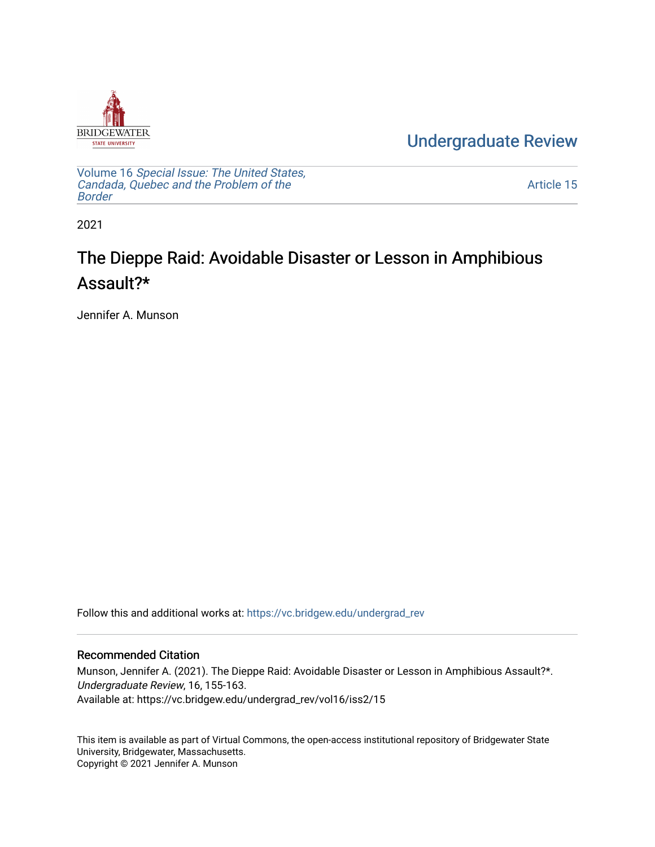

[Undergraduate Review](https://vc.bridgew.edu/undergrad_rev) 

Volume 16 [Special Issue: The United States,](https://vc.bridgew.edu/undergrad_rev/vol16)  [Candada, Quebec and the Problem of the](https://vc.bridgew.edu/undergrad_rev/vol16)  [Border](https://vc.bridgew.edu/undergrad_rev/vol16)

[Article 15](https://vc.bridgew.edu/undergrad_rev/vol16/iss2/15) 

2021

## The Dieppe Raid: Avoidable Disaster or Lesson in Amphibious Assault?\*

Jennifer A. Munson

Follow this and additional works at: [https://vc.bridgew.edu/undergrad\\_rev](https://vc.bridgew.edu/undergrad_rev?utm_source=vc.bridgew.edu%2Fundergrad_rev%2Fvol16%2Fiss2%2F15&utm_medium=PDF&utm_campaign=PDFCoverPages)

### Recommended Citation

Munson, Jennifer A. (2021). The Dieppe Raid: Avoidable Disaster or Lesson in Amphibious Assault?\*. Undergraduate Review, 16, 155-163. Available at: https://vc.bridgew.edu/undergrad\_rev/vol16/iss2/15

This item is available as part of Virtual Commons, the open-access institutional repository of Bridgewater State University, Bridgewater, Massachusetts. Copyright © 2021 Jennifer A. Munson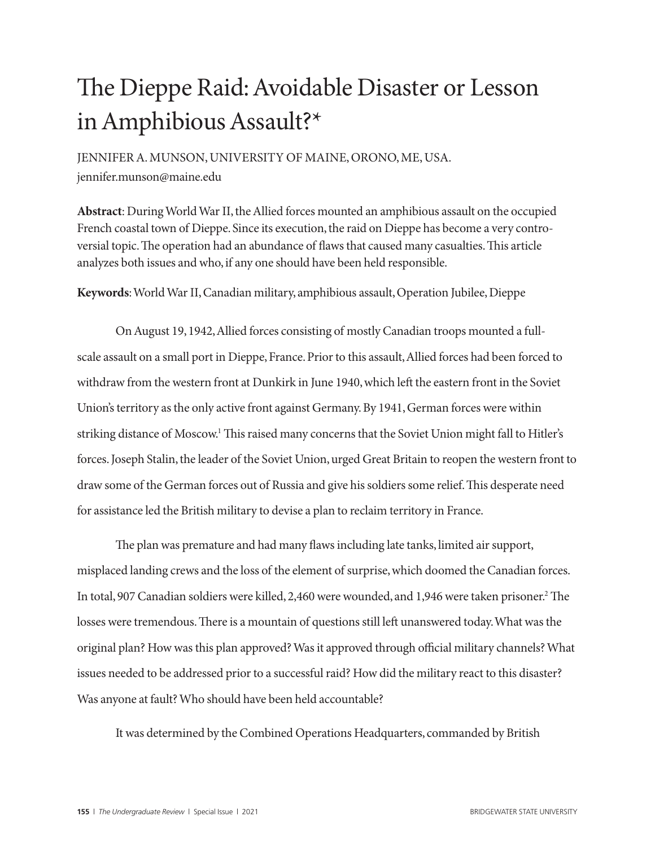# The Dieppe Raid: Avoidable Disaster or Lesson in Amphibious Assault?\*

JENNIFER A. MUNSON, UNIVERSITY OF MAINE, ORONO, ME, USA. jennifer.munson@maine.edu

**Abstract**: During World War II, the Allied forces mounted an amphibious assault on the occupied French coastal town of Dieppe. Since its execution, the raid on Dieppe has become a very controversial topic. The operation had an abundance of flaws that caused many casualties. This article analyzes both issues and who, if any one should have been held responsible.

**Keywords**: World War II, Canadian military, amphibious assault, Operation Jubilee, Dieppe

On August 19, 1942, Allied forces consisting of mostly Canadian troops mounted a fullscale assault on a small port in Dieppe, France. Prior to this assault, Allied forces had been forced to withdraw from the western front at Dunkirk in June 1940, which left the eastern front in the Soviet Union's territory as the only active front against Germany. By 1941, German forces were within striking distance of Moscow.<sup>1</sup> This raised many concerns that the Soviet Union might fall to Hitler's forces. Joseph Stalin, the leader of the Soviet Union, urged Great Britain to reopen the western front to draw some of the German forces out of Russia and give his soldiers some relief. This desperate need for assistance led the British military to devise a plan to reclaim territory in France.

The plan was premature and had many flaws including late tanks, limited air support, misplaced landing crews and the loss of the element of surprise, which doomed the Canadian forces. In total, 907 Canadian soldiers were killed, 2,460 were wounded, and 1,946 were taken prisoner.2 The losses were tremendous. There is a mountain of questions still left unanswered today. What was the original plan? How was this plan approved? Was it approved through official military channels? What issues needed to be addressed prior to a successful raid? How did the military react to this disaster? Was anyone at fault? Who should have been held accountable?

It was determined by the Combined Operations Headquarters, commanded by British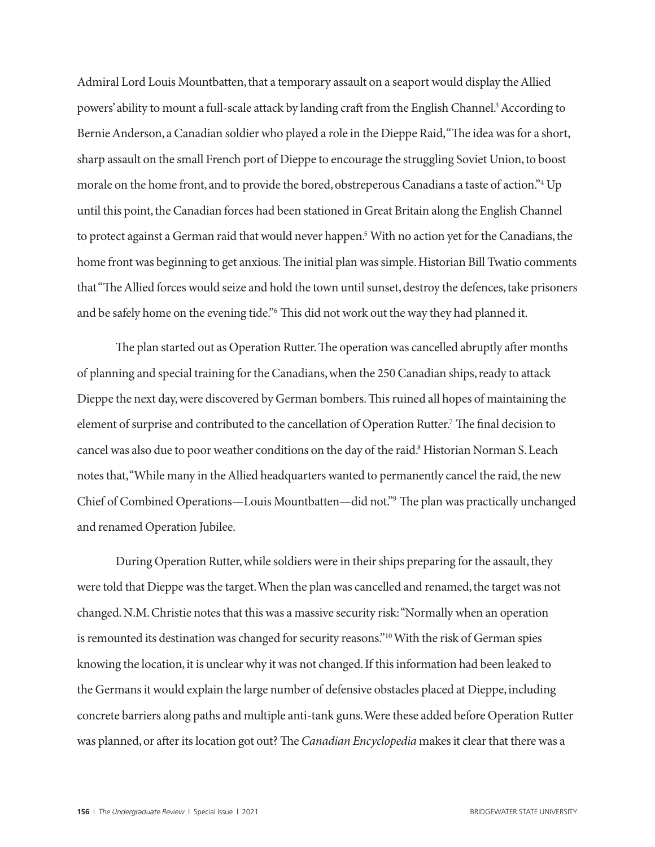Admiral Lord Louis Mountbatten, that a temporary assault on a seaport would display the Allied powers' ability to mount a full-scale attack by landing craft from the English Channel.<sup>3</sup> According to Bernie Anderson, a Canadian soldier who played a role in the Dieppe Raid, "The idea was for a short, sharp assault on the small French port of Dieppe to encourage the struggling Soviet Union, to boost morale on the home front, and to provide the bored, obstreperous Canadians a taste of action."4 Up until this point, the Canadian forces had been stationed in Great Britain along the English Channel to protect against a German raid that would never happen.5 With no action yet for the Canadians, the home front was beginning to get anxious. The initial plan was simple. Historian Bill Twatio comments that "The Allied forces would seize and hold the town until sunset, destroy the defences, take prisoners and be safely home on the evening tide."6 This did not work out the way they had planned it.

The plan started out as Operation Rutter. The operation was cancelled abruptly after months of planning and special training for the Canadians, when the 250 Canadian ships, ready to attack Dieppe the next day, were discovered by German bombers. This ruined all hopes of maintaining the element of surprise and contributed to the cancellation of Operation Rutter.<sup>7</sup> The final decision to cancel was also due to poor weather conditions on the day of the raid.<sup>8</sup> Historian Norman S. Leach notes that, "While many in the Allied headquarters wanted to permanently cancel the raid, the new Chief of Combined Operations—Louis Mountbatten—did not."9 The plan was practically unchanged and renamed Operation Jubilee.

During Operation Rutter, while soldiers were in their ships preparing for the assault, they were told that Dieppe was the target. When the plan was cancelled and renamed, the target was not changed. N.M. Christie notes that this was a massive security risk: "Normally when an operation is remounted its destination was changed for security reasons."<sup>10</sup> With the risk of German spies knowing the location, it is unclear why it was not changed. If this information had been leaked to the Germans it would explain the large number of defensive obstacles placed at Dieppe, including concrete barriers along paths and multiple anti-tank guns. Were these added before Operation Rutter was planned, or after its location got out? The *Canadian Encyclopedia* makes it clear that there was a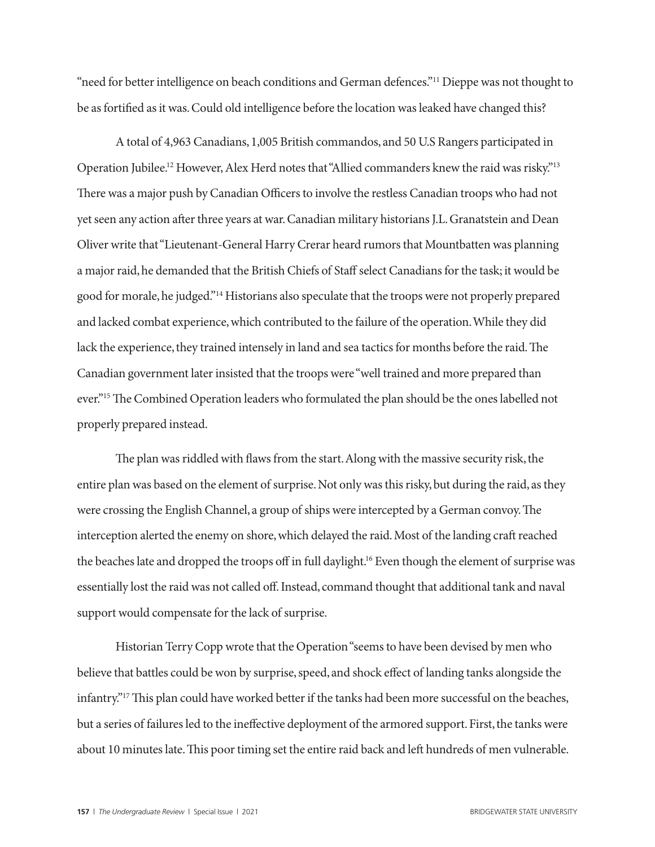"need for better intelligence on beach conditions and German defences."<sup>11</sup> Dieppe was not thought to be as fortified as it was. Could old intelligence before the location was leaked have changed this?

A total of 4,963 Canadians, 1,005 British commandos, and 50 U.S Rangers participated in Operation Jubilee.<sup>12</sup> However, Alex Herd notes that "Allied commanders knew the raid was risky."<sup>13</sup> There was a major push by Canadian Officers to involve the restless Canadian troops who had not yet seen any action after three years at war. Canadian military historians J.L. Granatstein and Dean Oliver write that "Lieutenant-General Harry Crerar heard rumors that Mountbatten was planning a major raid, he demanded that the British Chiefs of Staff select Canadians for the task; it would be good for morale, he judged."14 Historians also speculate that the troops were not properly prepared and lacked combat experience, which contributed to the failure of the operation. While they did lack the experience, they trained intensely in land and sea tactics for months before the raid. The Canadian government later insisted that the troops were "well trained and more prepared than ever."15 The Combined Operation leaders who formulated the plan should be the ones labelled not properly prepared instead.

The plan was riddled with flaws from the start. Along with the massive security risk, the entire plan was based on the element of surprise. Not only was this risky, but during the raid, as they were crossing the English Channel, a group of ships were intercepted by a German convoy. The interception alerted the enemy on shore, which delayed the raid. Most of the landing craft reached the beaches late and dropped the troops off in full daylight.16 Even though the element of surprise was essentially lost the raid was not called off. Instead, command thought that additional tank and naval support would compensate for the lack of surprise.

Historian Terry Copp wrote that the Operation "seems to have been devised by men who believe that battles could be won by surprise, speed, and shock effect of landing tanks alongside the infantry."17 This plan could have worked better if the tanks had been more successful on the beaches, but a series of failures led to the ineffective deployment of the armored support. First, the tanks were about 10 minutes late. This poor timing set the entire raid back and left hundreds of men vulnerable.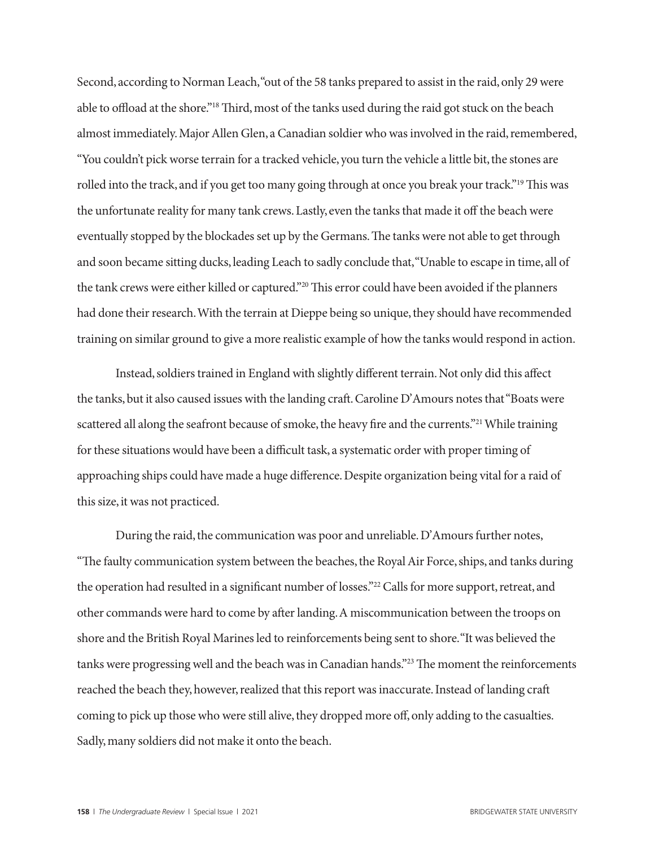Second, according to Norman Leach, "out of the 58 tanks prepared to assist in the raid, only 29 were able to offload at the shore."18 Third, most of the tanks used during the raid got stuck on the beach almost immediately. Major Allen Glen, a Canadian soldier who was involved in the raid, remembered, "You couldn't pick worse terrain for a tracked vehicle, you turn the vehicle a little bit, the stones are rolled into the track, and if you get too many going through at once you break your track."19 This was the unfortunate reality for many tank crews. Lastly, even the tanks that made it off the beach were eventually stopped by the blockades set up by the Germans. The tanks were not able to get through and soon became sitting ducks, leading Leach to sadly conclude that, "Unable to escape in time, all of the tank crews were either killed or captured."20 This error could have been avoided if the planners had done their research. With the terrain at Dieppe being so unique, they should have recommended training on similar ground to give a more realistic example of how the tanks would respond in action.

Instead, soldiers trained in England with slightly different terrain. Not only did this affect the tanks, but it also caused issues with the landing craft. Caroline D'Amours notes that "Boats were scattered all along the seafront because of smoke, the heavy fire and the currents."<sup>21</sup> While training for these situations would have been a difficult task, a systematic order with proper timing of approaching ships could have made a huge difference. Despite organization being vital for a raid of this size, it was not practiced.

During the raid, the communication was poor and unreliable. D'Amours further notes, "The faulty communication system between the beaches, the Royal Air Force, ships, and tanks during the operation had resulted in a significant number of losses."22 Calls for more support, retreat, and other commands were hard to come by after landing. A miscommunication between the troops on shore and the British Royal Marines led to reinforcements being sent to shore. "It was believed the tanks were progressing well and the beach was in Canadian hands."23 The moment the reinforcements reached the beach they, however, realized that this report was inaccurate. Instead of landing craft coming to pick up those who were still alive, they dropped more off, only adding to the casualties. Sadly, many soldiers did not make it onto the beach.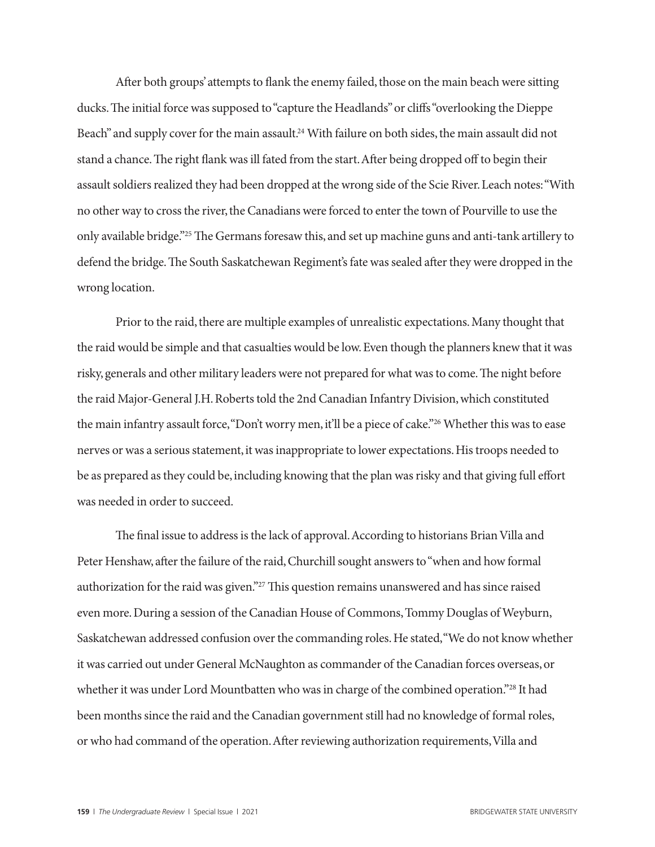After both groups' attempts to flank the enemy failed, those on the main beach were sitting ducks. The initial force was supposed to "capture the Headlands" or cliffs "overlooking the Dieppe Beach" and supply cover for the main assault.<sup>24</sup> With failure on both sides, the main assault did not stand a chance. The right flank was ill fated from the start. After being dropped off to begin their assault soldiers realized they had been dropped at the wrong side of the Scie River. Leach notes: "With no other way to cross the river, the Canadians were forced to enter the town of Pourville to use the only available bridge."25 The Germans foresaw this, and set up machine guns and anti-tank artillery to defend the bridge. The South Saskatchewan Regiment's fate was sealed after they were dropped in the wrong location.

Prior to the raid, there are multiple examples of unrealistic expectations. Many thought that the raid would be simple and that casualties would be low. Even though the planners knew that it was risky, generals and other military leaders were not prepared for what was to come. The night before the raid Major-General J.H. Roberts told the 2nd Canadian Infantry Division, which constituted the main infantry assault force, "Don't worry men, it'll be a piece of cake."26 Whether this was to ease nerves or was a serious statement, it was inappropriate to lower expectations. His troops needed to be as prepared as they could be, including knowing that the plan was risky and that giving full effort was needed in order to succeed.

The final issue to address is the lack of approval. According to historians Brian Villa and Peter Henshaw, after the failure of the raid, Churchill sought answers to "when and how formal authorization for the raid was given."<sup>27</sup> This question remains unanswered and has since raised even more. During a session of the Canadian House of Commons, Tommy Douglas of Weyburn, Saskatchewan addressed confusion over the commanding roles. He stated, "We do not know whether it was carried out under General McNaughton as commander of the Canadian forces overseas, or whether it was under Lord Mountbatten who was in charge of the combined operation."28 It had been months since the raid and the Canadian government still had no knowledge of formal roles, or who had command of the operation. After reviewing authorization requirements, Villa and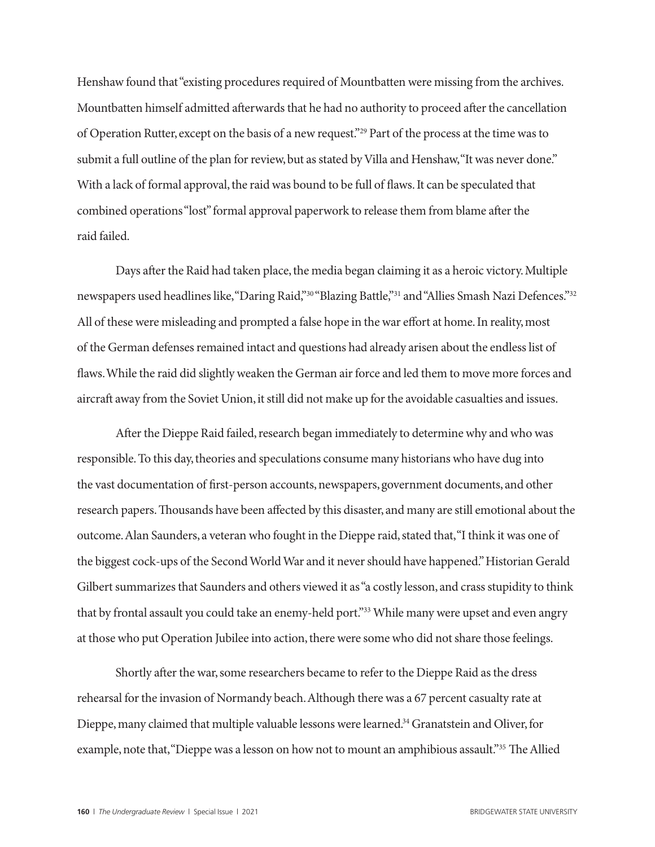Henshaw found that "existing procedures required of Mountbatten were missing from the archives. Mountbatten himself admitted afterwards that he had no authority to proceed after the cancellation of Operation Rutter, except on the basis of a new request."29 Part of the process at the time was to submit a full outline of the plan for review, but as stated by Villa and Henshaw, "It was never done." With a lack of formal approval, the raid was bound to be full of flaws. It can be speculated that combined operations "lost" formal approval paperwork to release them from blame after the raid failed.

Days after the Raid had taken place, the media began claiming it as a heroic victory. Multiple newspapers used headlines like, "Daring Raid,"<sup>30</sup> "Blazing Battle,"<sup>31</sup> and "Allies Smash Nazi Defences."<sup>32</sup> All of these were misleading and prompted a false hope in the war effort at home. In reality, most of the German defenses remained intact and questions had already arisen about the endless list of flaws. While the raid did slightly weaken the German air force and led them to move more forces and aircraft away from the Soviet Union, it still did not make up for the avoidable casualties and issues.

After the Dieppe Raid failed, research began immediately to determine why and who was responsible. To this day, theories and speculations consume many historians who have dug into the vast documentation of first-person accounts, newspapers, government documents, and other research papers. Thousands have been affected by this disaster, and many are still emotional about the outcome. Alan Saunders, a veteran who fought in the Dieppe raid, stated that, "I think it was one of the biggest cock-ups of the Second World War and it never should have happened." Historian Gerald Gilbert summarizes that Saunders and others viewed it as "a costly lesson, and crass stupidity to think that by frontal assault you could take an enemy-held port."33 While many were upset and even angry at those who put Operation Jubilee into action, there were some who did not share those feelings.

Shortly after the war, some researchers became to refer to the Dieppe Raid as the dress rehearsal for the invasion of Normandy beach. Although there was a 67 percent casualty rate at Dieppe, many claimed that multiple valuable lessons were learned.34 Granatstein and Oliver, for example, note that, "Dieppe was a lesson on how not to mount an amphibious assault."35 The Allied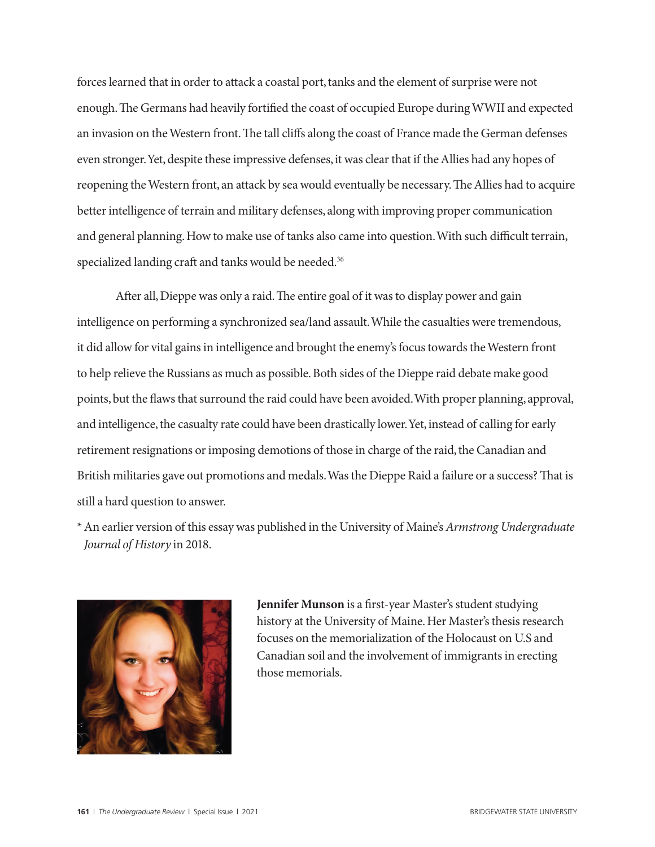forces learned that in order to attack a coastal port, tanks and the element of surprise were not enough. The Germans had heavily fortified the coast of occupied Europe during WWII and expected an invasion on the Western front. The tall cliffs along the coast of France made the German defenses even stronger. Yet, despite these impressive defenses, it was clear that if the Allies had any hopes of reopening the Western front, an attack by sea would eventually be necessary. The Allies had to acquire better intelligence of terrain and military defenses, along with improving proper communication and general planning. How to make use of tanks also came into question. With such difficult terrain, specialized landing craft and tanks would be needed.<sup>36</sup>

After all, Dieppe was only a raid. The entire goal of it was to display power and gain intelligence on performing a synchronized sea/land assault. While the casualties were tremendous, it did allow for vital gains in intelligence and brought the enemy's focus towards the Western front to help relieve the Russians as much as possible. Both sides of the Dieppe raid debate make good points, but the flaws that surround the raid could have been avoided. With proper planning, approval, and intelligence, the casualty rate could have been drastically lower. Yet, instead of calling for early retirement resignations or imposing demotions of those in charge of the raid, the Canadian and British militaries gave out promotions and medals. Was the Dieppe Raid a failure or a success? That is still a hard question to answer.

\* An earlier version of this essay was published in the University of Maine's *Armstrong Undergraduate Journal of History* in 2018.



**Jennifer Munson** is a first-year Master's student studying history at the University of Maine. Her Master's thesis research focuses on the memorialization of the Holocaust on U.S and Canadian soil and the involvement of immigrants in erecting those memorials.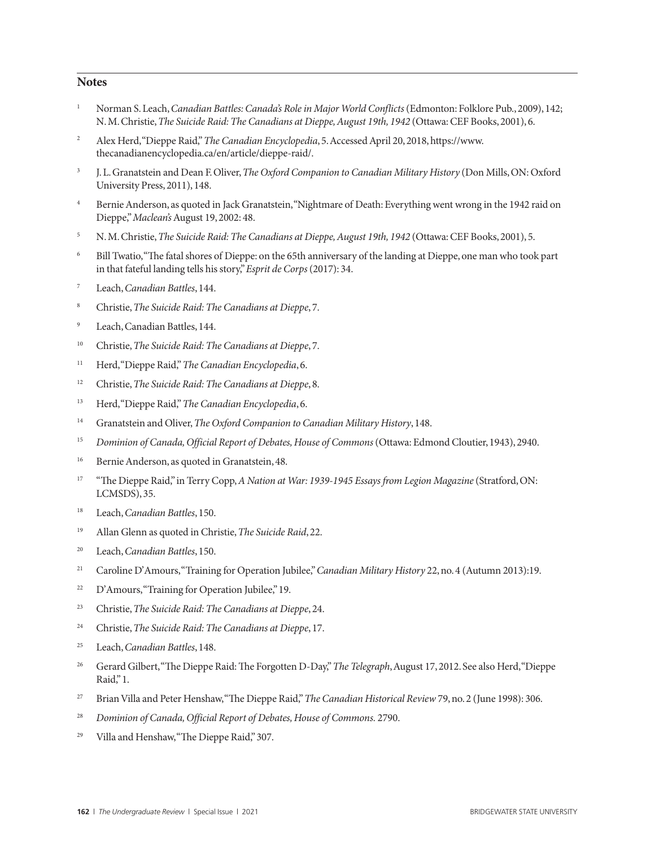#### **Notes**

- <sup>1</sup> Norman S. Leach, *Canadian Battles: Canada's Role in Major World Conflicts* (Edmonton: Folklore Pub., 2009), 142; N. M. Christie, *The Suicide Raid: The Canadians at Dieppe, August 19th, 1942* (Ottawa: CEF Books, 2001), 6.
- <sup>2</sup> Alex Herd, "Dieppe Raid," *The Canadian Encyclopedia*, 5. Accessed April 20, 2018, https://www. thecanadianencyclopedia.ca/en/article/dieppe-raid/.
- <sup>3</sup> J. L. Granatstein and Dean F. Oliver, *The Oxford Companion to Canadian Military History* (Don Mills, ON: Oxford University Press, 2011), 148.
- <sup>4</sup> Bernie Anderson, as quoted in Jack Granatstein, "Nightmare of Death: Everything went wrong in the 1942 raid on Dieppe," *Maclean's* August 19, 2002: 48.
- <sup>5</sup> N. M. Christie, *The Suicide Raid: The Canadians at Dieppe, August 19th, 1942* (Ottawa: CEF Books, 2001), 5.
- <sup>6</sup> Bill Twatio, "The fatal shores of Dieppe: on the 65th anniversary of the landing at Dieppe, one man who took part in that fateful landing tells his story," *Esprit de Corps* (2017): 34.
- <sup>7</sup> Leach, *Canadian Battles*, 144.
- <sup>8</sup> Christie, *The Suicide Raid: The Canadians at Dieppe*, 7.
- Leach, Canadian Battles, 144.
- <sup>10</sup> Christie, *The Suicide Raid: The Canadians at Dieppe*, 7.
- <sup>11</sup> Herd, "Dieppe Raid," *The Canadian Encyclopedia*, 6.
- <sup>12</sup> Christie, *The Suicide Raid: The Canadians at Dieppe*, 8.
- <sup>13</sup> Herd, "Dieppe Raid," *The Canadian Encyclopedia*, 6.
- <sup>14</sup> Granatstein and Oliver, *The Oxford Companion to Canadian Military History*, 148.
- <sup>15</sup> *Dominion of Canada, Official Report of Debates, House of Commons* (Ottawa: Edmond Cloutier, 1943), 2940.
- <sup>16</sup> Bernie Anderson, as quoted in Granatstein, 48.
- <sup>17</sup> "The Dieppe Raid," in Terry Copp, *A Nation at War: 1939-1945 Essays from Legion Magazine* (Stratford, ON: LCMSDS), 35.
- <sup>18</sup> Leach, *Canadian Battles*, 150.
- <sup>19</sup> Allan Glenn as quoted in Christie, *The Suicide Raid*, 22.
- <sup>20</sup> Leach, *Canadian Battles*, 150.
- <sup>21</sup> Caroline D'Amours, "Training for Operation Jubilee," *Canadian Military History* 22, no. 4 (Autumn 2013):19.
- <sup>22</sup> D'Amours, "Training for Operation Jubilee," 19.
- <sup>23</sup> Christie, *The Suicide Raid: The Canadians at Dieppe*, 24.
- <sup>24</sup> Christie, *The Suicide Raid: The Canadians at Dieppe*, 17.
- <sup>25</sup> Leach, *Canadian Battles*, 148.
- <sup>26</sup> Gerard Gilbert, "The Dieppe Raid: The Forgotten D-Day," *The Telegraph*, August 17, 2012. See also Herd, "Dieppe Raid," 1.
- <sup>27</sup> Brian Villa and Peter Henshaw, "The Dieppe Raid," *The Canadian Historical Review* 79, no. 2 (June 1998): 306.
- <sup>28</sup> *Dominion of Canada, Official Report of Debates, House of Commons.* 2790.
- <sup>29</sup> Villa and Henshaw, "The Dieppe Raid," 307.